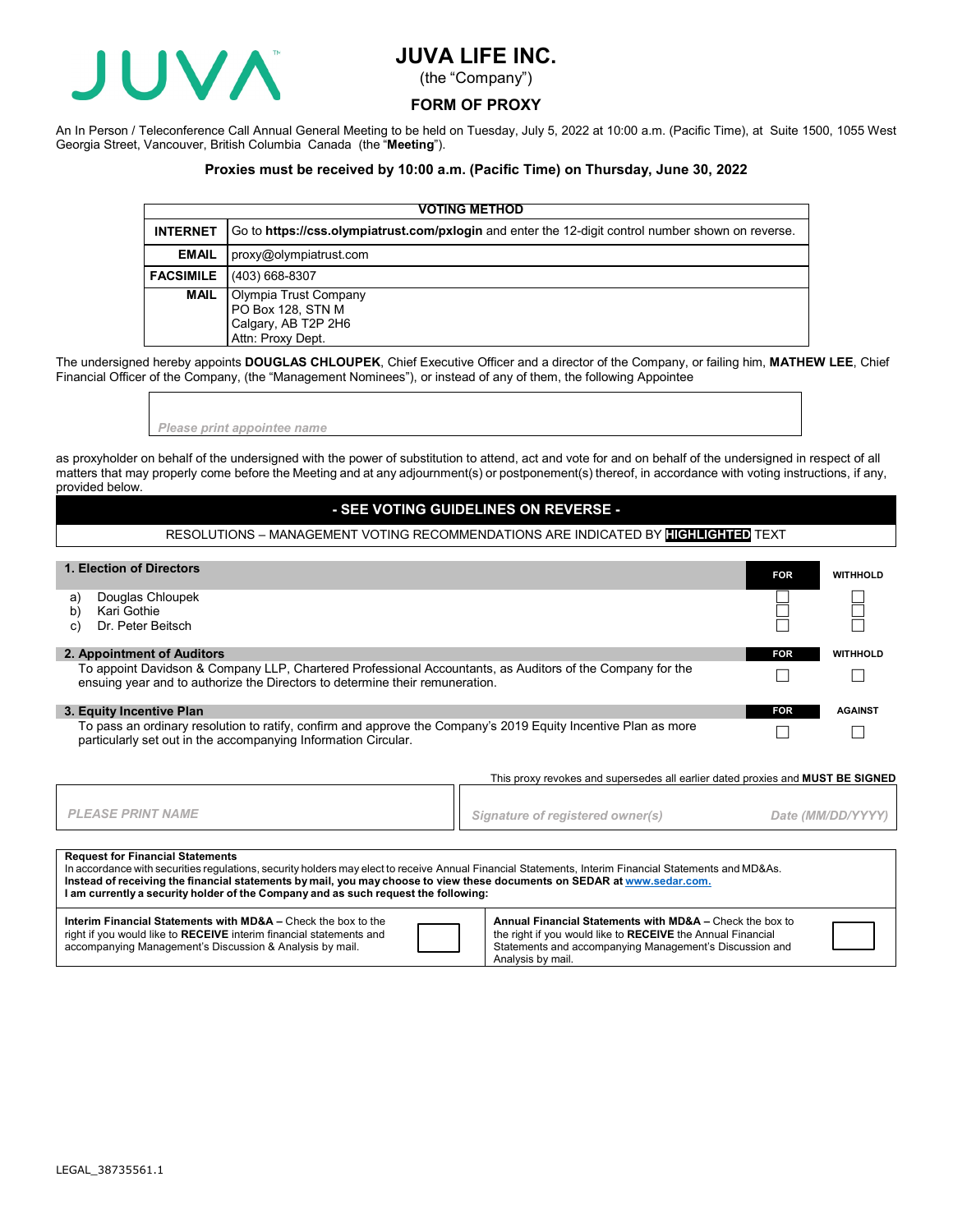

# **JUVA LIFE INC.**

(the "Company")

### **FORM OF PROXY**

An In Person / Teleconference Call Annual General Meeting to be held on Tuesday, July 5, 2022 at 10:00 a.m. (Pacific Time), at Suite 1500, 1055 West Georgia Street, Vancouver, British Columbia Canada (the "**Meeting**").

### **Proxies must be received by 10:00 a.m. (Pacific Time) on Thursday, June 30, 2022**

| <b>VOTING METHOD</b> |                                                                                                    |  |  |  |  |  |  |
|----------------------|----------------------------------------------------------------------------------------------------|--|--|--|--|--|--|
| <b>INTERNET</b>      | Go to https://css.olympiatrust.com/pxlogin and enter the 12-digit control number shown on reverse. |  |  |  |  |  |  |
| <b>EMAIL</b>         | proxy@olympiatrust.com                                                                             |  |  |  |  |  |  |
| <b>FACSIMILE</b>     | (403) 668-8307                                                                                     |  |  |  |  |  |  |
| <b>MAIL</b>          | Olympia Trust Company<br>PO Box 128, STN M<br>Calgary, AB T2P 2H6<br>Attn: Proxy Dept.             |  |  |  |  |  |  |

The undersigned hereby appoints **DOUGLAS CHLOUPEK**, Chief Executive Officer and a director of the Company, or failing him, **MATHEW LEE**, Chief Financial Officer of the Company, (the "Management Nominees"), or instead of any of them, the following Appointee

*Please print appointee name*

as proxyholder on behalf of the undersigned with the power of substitution to attend, act and vote for and on behalf of the undersigned in respect of all matters that may properly come before the Meeting and at any adjournment(s) or postponement(s) thereof, in accordance with voting instructions, if any, provided below.

## **- SEE VOTING GUIDELINES ON REVERSE -**

RESOLUTIONS – MANAGEMENT VOTING RECOMMENDATIONS ARE INDICATED BY **HIGHLIGHTED** TEXT

# **1. Election of Directors FOR WITHHOLD**

| a) Douglas Chloupek |
|---------------------|
|---------------------|

- b) Kari Gothie c) Dr. Peter Beitsch
- 

#### **2. Appointment of Auditors FOR WITHHOLD**

To appoint Davidson & Company LLP, Chartered Professional Accountants, as Auditors of the Company for the To appoint Davidson & Company LLF, Chartered Frotessional Accountants, as Additions of the Company for the Company of the Company of the Company  $\Box$ 

#### **3. Equity Incentive Plan FOR AGAINST**

To pass an ordinary resolution to ratify, confirm and approve the Company's 2019 Equity Incentive Plan as more To pass an ordinary resolution to ratily, confirm and approve the Company's 2019 Equity Incentive Plan as more<br>particularly set out in the accompanying Information Circular.

|  |  | This proxy revokes and supersedes all earlier dated proxies and <b>MUST BE SIGNED</b> |  |  |  |  |  |
|--|--|---------------------------------------------------------------------------------------|--|--|--|--|--|
|  |  |                                                                                       |  |  |  |  |  |

| PLEASE PRINT NAME | Signature of registered owner(s) | Date (MM/DD/YYYY) |
|-------------------|----------------------------------|-------------------|
|                   |                                  |                   |

# **Request for Financial Statements**

| In accordance with securities regulations, security holders may elect to receive Annual Financial Statements, Interim Financial Statements and MD&As.<br>Instead of receiving the financial statements by mail, you may choose to view these documents on SEDAR at www.sedar.com.<br>I am currently a security holder of the Company and as such request the following: |                                                          |  |  |  |  |  |  |
|-------------------------------------------------------------------------------------------------------------------------------------------------------------------------------------------------------------------------------------------------------------------------------------------------------------------------------------------------------------------------|----------------------------------------------------------|--|--|--|--|--|--|
| <b>Interim Financial Statements with MD&amp;A – Check the box to the</b>                                                                                                                                                                                                                                                                                                | Annual Financial Statements with MD&A - Check the box to |  |  |  |  |  |  |

| right if you would like to RECEIVE interim financial statements and |  | the right if you would like to RECEIVE the Annual Financial |  |
|---------------------------------------------------------------------|--|-------------------------------------------------------------|--|
| accompanying Management's Discussion & Analysis by mail.            |  | Statements and accompanying Management's Discussion and     |  |
|                                                                     |  | Analysis by                                                 |  |